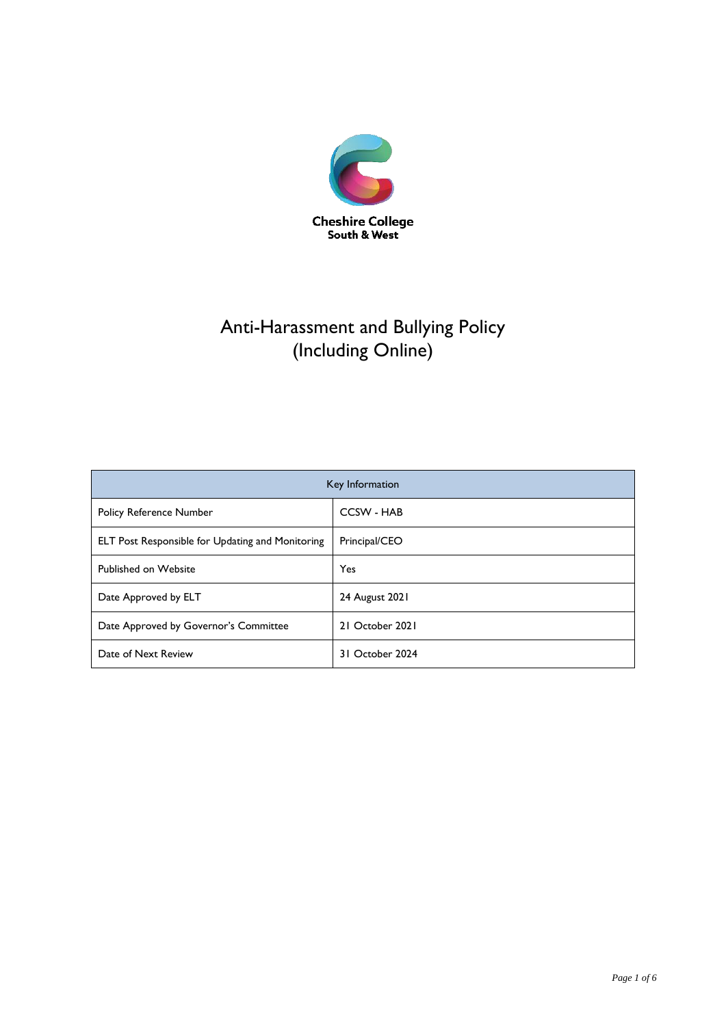

# Anti-Harassment and Bullying Policy (Including Online)

| Key Information                                         |                   |
|---------------------------------------------------------|-------------------|
| <b>Policy Reference Number</b>                          | <b>CCSW - HAB</b> |
| <b>ELT Post Responsible for Updating and Monitoring</b> | Principal/CEO     |
| Published on Website                                    | <b>Yes</b>        |
| Date Approved by ELT                                    | 24 August 2021    |
| Date Approved by Governor's Committee                   | 21 October 2021   |
| Date of Next Review                                     | 31 October 2024   |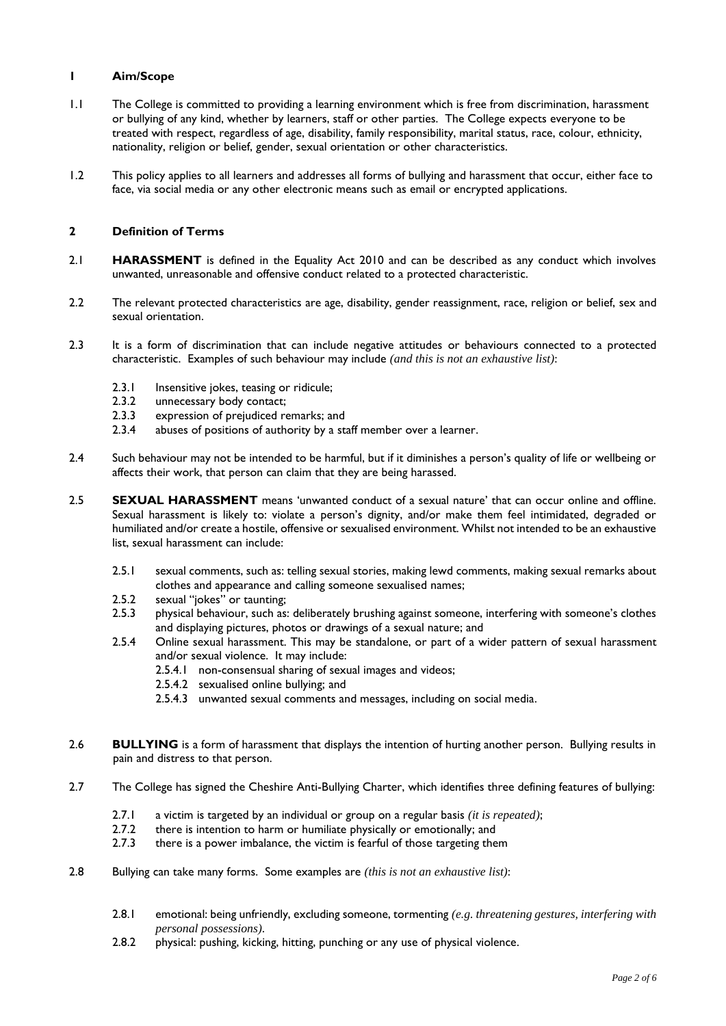#### **1 Aim/Scope**

- 1.1 The College is committed to providing a learning environment which is free from discrimination, harassment or bullying of any kind, whether by learners, staff or other parties. The College expects everyone to be treated with respect, regardless of age, disability, family responsibility, marital status, race, colour, ethnicity, nationality, religion or belief, gender, sexual orientation or other characteristics.
- 1.2 This policy applies to all learners and addresses all forms of bullying and harassment that occur, either face to face, via social media or any other electronic means such as email or encrypted applications.

## **2 Definition of Terms**

- 2.1 **HARASSMENT** is defined in the Equality Act 2010 and can be described as any conduct which involves unwanted, unreasonable and offensive conduct related to a protected characteristic.
- 2.2 The relevant protected characteristics are age, disability, gender reassignment, race, religion or belief, sex and sexual orientation.
- 2.3 It is a form of discrimination that can include negative attitudes or behaviours connected to a protected characteristic. Examples of such behaviour may include *(and this is not an exhaustive list)*:
	- 2.3.1 Insensitive jokes, teasing or ridicule;
	- 2.3.2 unnecessary body contact;
	- 2.3.3 expression of prejudiced remarks; and
	- 2.3.4 abuses of positions of authority by a staff member over a learner.
- 2.4 Such behaviour may not be intended to be harmful, but if it diminishes a person's quality of life or wellbeing or affects their work, that person can claim that they are being harassed.
- 2.5 **SEXUAL HARASSMENT** means 'unwanted conduct of a sexual nature' that can occur online and offline. Sexual harassment is likely to: violate a person's dignity, and/or make them feel intimidated, degraded or humiliated and/or create a hostile, offensive or sexualised environment. Whilst not intended to be an exhaustive list, sexual harassment can include:
	- 2.5.1 sexual comments, such as: telling sexual stories, making lewd comments, making sexual remarks about clothes and appearance and calling someone sexualised names;
	- 2.5.2 sexual "jokes" or taunting;
	- 2.5.3 physical behaviour, such as: deliberately brushing against someone, interfering with someone's clothes and displaying pictures, photos or drawings of a sexual nature; and
	- 2.5.4 Online sexual harassment. This may be standalone, or part of a wider pattern of sexual harassment and/or sexual violence. It may include:
		- 2.5.4.1 non-consensual sharing of sexual images and videos;
		- 2.5.4.2 sexualised online bullying; and
		- 2.5.4.3 unwanted sexual comments and messages, including on social media.
- 2.6 **BULLYING** is a form of harassment that displays the intention of hurting another person. Bullying results in pain and distress to that person.
- 2.7 The College has signed the Cheshire Anti-Bullying Charter, which identifies three defining features of bullying:
	- 2.7.1 a victim is targeted by an individual or group on a regular basis *(it is repeated)*;
	- 2.7.2 there is intention to harm or humiliate physically or emotionally; and
	- 2.7.3 there is a power imbalance, the victim is fearful of those targeting them
- 2.8 Bullying can take many forms. Some examples are *(this is not an exhaustive list)*:
	- 2.8.1 emotional: being unfriendly, excluding someone, tormenting *(e.g. threatening gestures, interfering with personal possessions)*.
	- 2.8.2 physical: pushing, kicking, hitting, punching or any use of physical violence.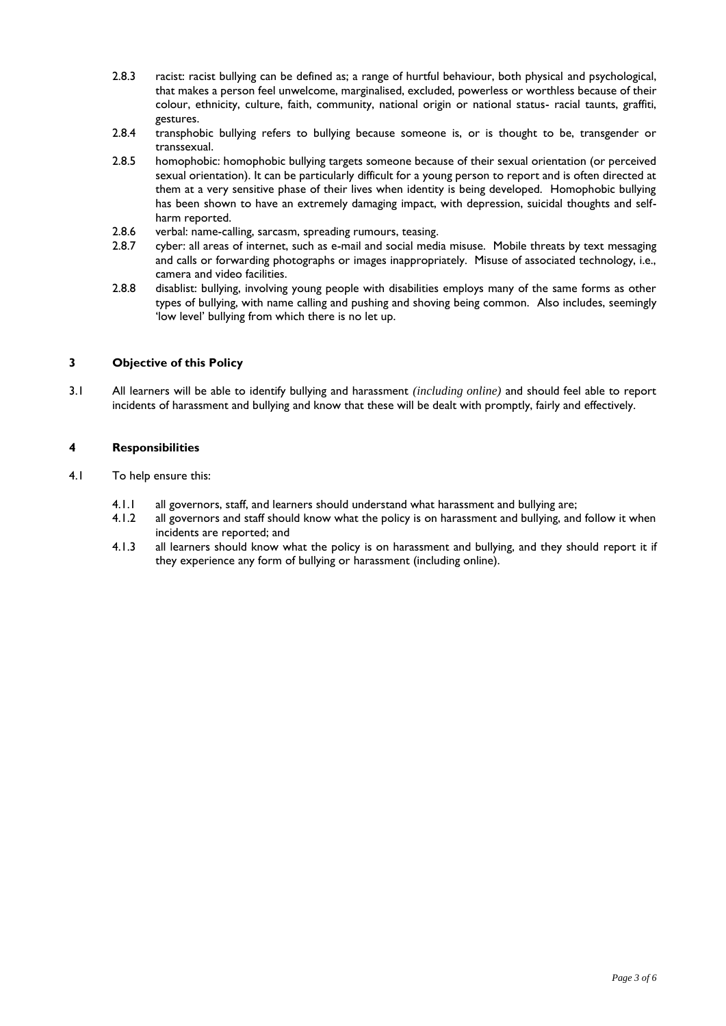- 2.8.3 racist: racist bullying can be defined as; a range of hurtful behaviour, both physical and psychological, that makes a person feel unwelcome, marginalised, excluded, powerless or worthless because of their colour, ethnicity, culture, faith, community, national origin or national status- racial taunts, graffiti, gestures.
- 2.8.4 transphobic bullying refers to bullying because someone is, or is thought to be, transgender or transsexual.
- 2.8.5 homophobic: homophobic bullying targets someone because of their sexual orientation (or perceived sexual orientation). It can be particularly difficult for a young person to report and is often directed at them at a very sensitive phase of their lives when identity is being developed. Homophobic bullying has been shown to have an extremely damaging impact, with depression, suicidal thoughts and selfharm reported.
- 2.8.6 verbal: name-calling, sarcasm, spreading rumours, teasing.
- 2.8.7 cyber: all areas of internet, such as e-mail and social media misuse. Mobile threats by text messaging and calls or forwarding photographs or images inappropriately. Misuse of associated technology, i.e., camera and video facilities.
- 2.8.8 disablist: bullying, involving young people with disabilities employs many of the same forms as other types of bullying, with name calling and pushing and shoving being common. Also includes, seemingly 'low level' bullying from which there is no let up.

# **3 Objective of this Policy**

3.1 All learners will be able to identify bullying and harassment *(including online)* and should feel able to report incidents of harassment and bullying and know that these will be dealt with promptly, fairly and effectively.

## **4 Responsibilities**

- 4.1 To help ensure this:
	- 4.1.1 all governors, staff, and learners should understand what harassment and bullying are;
	- 4.1.2 all governors and staff should know what the policy is on harassment and bullying, and follow it when incidents are reported; and
	- 4.1.3 all learners should know what the policy is on harassment and bullying, and they should report it if they experience any form of bullying or harassment (including online).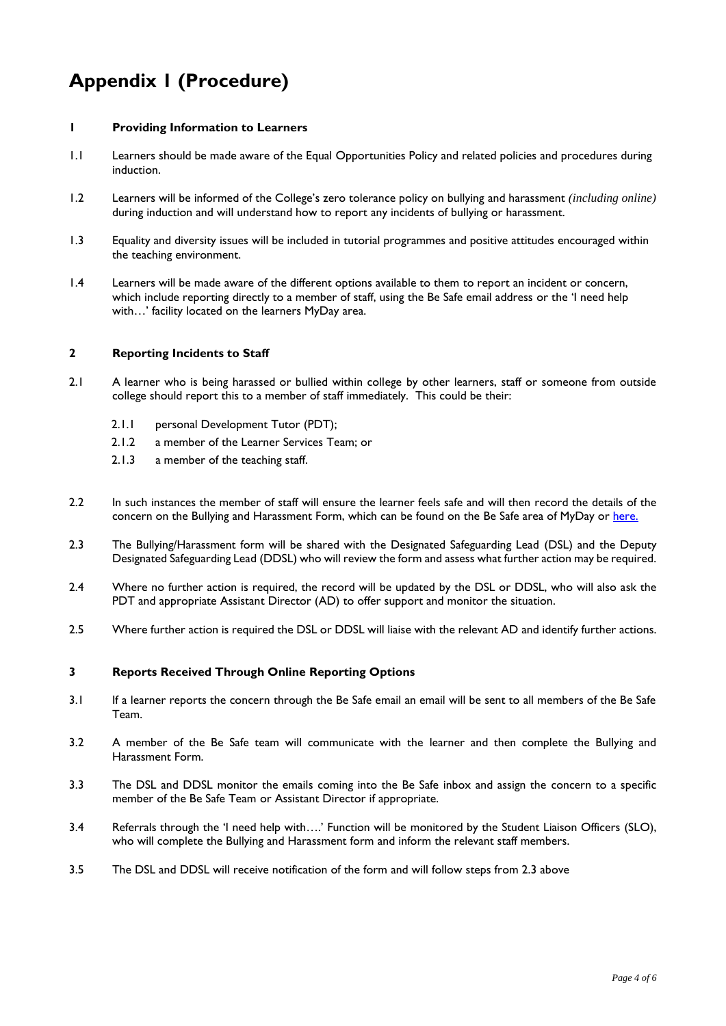# **Appendix 1 (Procedure)**

## **1 Providing Information to Learners**

- 1.1 Learners should be made aware of the Equal Opportunities Policy and related policies and procedures during induction.
- 1.2 Learners will be informed of the College's zero tolerance policy on bullying and harassment *(including online)* during induction and will understand how to report any incidents of bullying or harassment.
- 1.3 Equality and diversity issues will be included in tutorial programmes and positive attitudes encouraged within the teaching environment.
- 1.4 Learners will be made aware of the different options available to them to report an incident or concern, which include reporting directly to a member of staff, using the Be Safe email address or the 'I need help with…' facility located on the learners MyDay area.

## **2 Reporting Incidents to Staff**

- 2.1 A learner who is being harassed or bullied within college by other learners, staff or someone from outside college should report this to a member of staff immediately. This could be their:
	- 2.1.1 personal Development Tutor (PDT);
	- 2.1.2 a member of the Learner Services Team; or
	- 2.1.3 a member of the teaching staff.
- 2.2 In such instances the member of staff will ensure the learner feels safe and will then record the details of the concern on the Bullying and Harassment Form, which can be found on the Be Safe area of MyDay or [here.](https://forms.office.com/Pages/ResponsePage.aspx?id=VH3Qw7e-fkuGltR3J_yXk0hkN2CtGDRNu2qjWFPZozVUMDlRNzNGRVUwWFk1VTk5U1o0V1ZGMkE5RyQlQCN0PWcu)
- 2.3 The Bullying/Harassment form will be shared with the Designated Safeguarding Lead (DSL) and the Deputy Designated Safeguarding Lead (DDSL) who will review the form and assess what further action may be required.
- 2.4 Where no further action is required, the record will be updated by the DSL or DDSL, who will also ask the PDT and appropriate Assistant Director (AD) to offer support and monitor the situation.
- 2.5 Where further action is required the DSL or DDSL will liaise with the relevant AD and identify further actions.

#### **3 Reports Received Through Online Reporting Options**

- 3.1 If a learner reports the concern through the Be Safe email an email will be sent to all members of the Be Safe Team.
- 3.2 A member of the Be Safe team will communicate with the learner and then complete the Bullying and Harassment Form.
- 3.3 The DSL and DDSL monitor the emails coming into the Be Safe inbox and assign the concern to a specific member of the Be Safe Team or Assistant Director if appropriate.
- 3.4 Referrals through the 'I need help with….' Function will be monitored by the Student Liaison Officers (SLO), who will complete the Bullying and Harassment form and inform the relevant staff members.
- 3.5 The DSL and DDSL will receive notification of the form and will follow steps from 2.3 above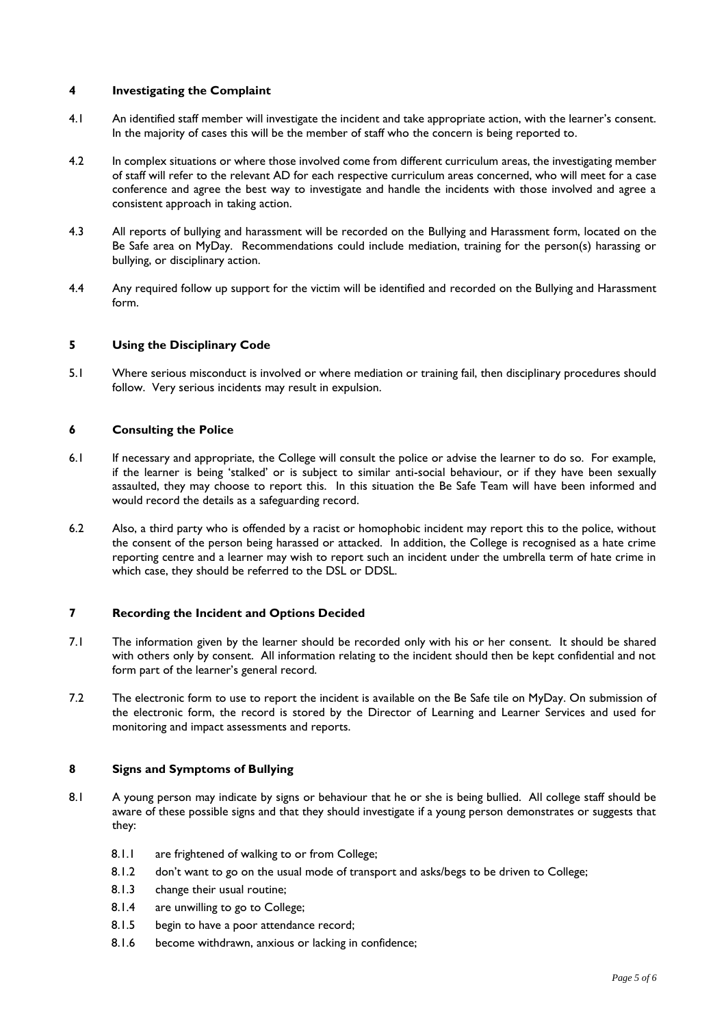#### **4 Investigating the Complaint**

- 4.1 An identified staff member will investigate the incident and take appropriate action, with the learner's consent. In the majority of cases this will be the member of staff who the concern is being reported to.
- 4.2 In complex situations or where those involved come from different curriculum areas, the investigating member of staff will refer to the relevant AD for each respective curriculum areas concerned, who will meet for a case conference and agree the best way to investigate and handle the incidents with those involved and agree a consistent approach in taking action.
- 4.3 All reports of bullying and harassment will be recorded on the Bullying and Harassment form, located on the Be Safe area on MyDay. Recommendations could include mediation, training for the person(s) harassing or bullying, or disciplinary action.
- 4.4 Any required follow up support for the victim will be identified and recorded on the Bullying and Harassment form.

#### **5 Using the Disciplinary Code**

5.1 Where serious misconduct is involved or where mediation or training fail, then disciplinary procedures should follow. Very serious incidents may result in expulsion.

#### **6 Consulting the Police**

- 6.1 If necessary and appropriate, the College will consult the police or advise the learner to do so. For example, if the learner is being 'stalked' or is subject to similar anti-social behaviour, or if they have been sexually assaulted, they may choose to report this. In this situation the Be Safe Team will have been informed and would record the details as a safeguarding record.
- 6.2 Also, a third party who is offended by a racist or homophobic incident may report this to the police, without the consent of the person being harassed or attacked. In addition, the College is recognised as a hate crime reporting centre and a learner may wish to report such an incident under the umbrella term of hate crime in which case, they should be referred to the DSL or DDSL.

## **7 Recording the Incident and Options Decided**

- 7.1 The information given by the learner should be recorded only with his or her consent. It should be shared with others only by consent. All information relating to the incident should then be kept confidential and not form part of the learner's general record.
- 7.2 The electronic form to use to report the incident is available on the Be Safe tile on MyDay. On submission of the electronic form, the record is stored by the Director of Learning and Learner Services and used for monitoring and impact assessments and reports.

# **8 Signs and Symptoms of Bullying**

- 8.1 A young person may indicate by signs or behaviour that he or she is being bullied. All college staff should be aware of these possible signs and that they should investigate if a young person demonstrates or suggests that they:
	- 8.1.1 are frightened of walking to or from College;
	- 8.1.2 don't want to go on the usual mode of transport and asks/begs to be driven to College;
	- 8.1.3 change their usual routine;
	- 8.1.4 are unwilling to go to College;
	- 8.1.5 begin to have a poor attendance record;
	- 8.1.6 become withdrawn, anxious or lacking in confidence;